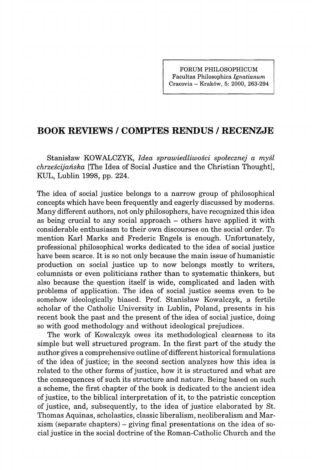**FORUM PHILOSOPHICUM Facultas Philosophica** *Ignatianum*  **Cracovia - Kraköw, 5: 2000, 263-294** 

## **BOOK REVIEWS / COMPTES RENDUS / RECENZJE**

Stanislaw KOWALCZYK, *Idea sprawiedliwosci spolecznej a mysl chrzescijanska* [The Idea of Social Justice and the Christian Thought], KUL, Lublin 1998, pp. 224.

The idea of social justice belongs to a narrow group of philosophical concepts which have been frequently and eagerly discussed by moderns. Many different authors, not only philosophers, have recognized this idea as being crucial to any social approach - others have applied it with considerable enthusiasm to their own discourses on the social order. To mention Karl Marks and Frederic Engels is enough. Unfortunately, professional philosophical works dedicated to the idea of social justice have been scarce. It is so not only because the main issue of humanistic production on social justice up to now belongs mostly to writers, columnists or even politicians rather than to systematic thinkers, but also because the question itself is wide, complicated and laden with problems of application. The idea of social justice seems even to be somehow ideologically biased. Prof. Stanisław Kowalczyk, a fertile scholar of the Catholic University in Lublin, Poland, presents in his recent book the past and the present of the idea of social justice, doing so with good methodology and without ideological prejudices.

The work of Kowalczyk owes its methodological clearness to its simple but well structured program. In the first part of the study the author gives a comprehensive outline of different historical formulations of the idea of justice; in the second section analyzes how this idea is related to the other forms of justice, how it is structured and what are the consequences of such its structure and nature. Being based on such a scheme, the first chapter of the book is dedicated to the ancient idea of justice, to the biblical interpretation of it, to the patristic conception of justice, and, subsequently, to the idea of justice elaborated by St. Thomas Aquinas, scholastics, classic liberalism, neoliberalism and Marxism (separate chapters) - giving final presentations on the idea of social justice in the social doctrine of the Roman-Catholic Church and the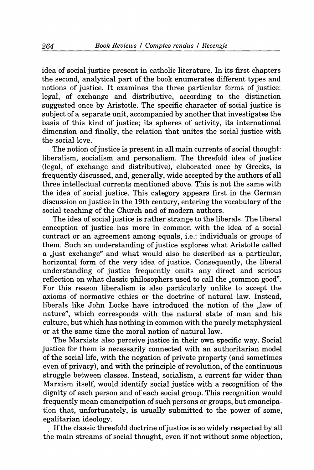idea of social justice present in catholic literature. In its first chapters the second, analytical part of the book enumerates different types and notions of justice. It examines the three particular forms of justice: legal, of exchange and distributive, according to the distinction suggested once by Aristotle. The specific character of social justice is subject of a separate unit, accompanied by another that investigates the basis of this kind of justice; its spheres of activity, its international dimension and finally, the relation that unites the social justice with the social love.

The notion of justice is present in all main currents of social thought: liberalism, socialism and personalism. The threefold idea of justice (legal, of exchange and distributive), elaborated once by Greeks, is frequently discussed, and, generally, wide accepted by the authors of all three intellectual currents mentioned above. This is not the same with the idea of social justice. This category appears first in the German discussion on justice in the 19th century, entering the vocabulary of the social teaching of the Church and of modern authors.

The idea of social justice is rather strange to the liberals. The liberal conception of justice has more in common with the idea of a social contract or an agreement among equals, i.e.: individuals or groups of them. Such an understanding of justice explores what Aristotle called a ,just exchange" and what would also be described as a particular, horizontal form of the very idea of justice. Consequently, the liberal understanding of justice frequently omits any direct and serious reflection on what classic philosophers used to call the "common good". For this reason liberalism is also particularly unlike to accept the axioms of normative ethics or the doctrine of natural law. Instead, liberals like John Locke have introduced the notion of the "law of" nature", which corresponds with the natural state of man and his culture, but which has nothing in common with the purely metaphysical or at the same time the moral notion of natural law.

The Marxists also perceive justice in their own specific way. Social justice for them is necessarily connected with an authoritarian model of the social life, with the negation of private property (and sometimes even of privacy), and with the principle of revolution, of the continuous struggle between classes. Instead, socialism, a current far wider than Marxism itself, would identify social justice with a recognition of the dignity of each person and of each social group. This recognition would frequently mean emancipation of such persons or groups, but emancipation that, unfortunately, is usually submitted to the power of some, egalitarian ideology.

If the classic threefold doctrine of justice is so widely respected by all the main streams of social thought, even if not without some objection.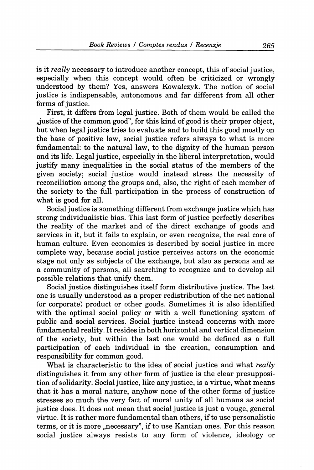is it *really* necessary to introduce another concept, this of social justice, especially when this concept would often be criticized or wrongly understood by them? Yes, answers Kowalczyk. The notion of social justice is indispensable, autonomous and far different from all other forms of justice.

First, it differs from legal justice. Both of them would be called the ,justice of the common good", for this kind of good is their proper object, but when legal justice tries to evaluate and to build this good mostly on the base of positive law, social justice refers always to what is more fundamental: to the natural law, to the dignity of the human person and its life. Legal justice, especially in the liberal interpretation, would justify many inequalities in the social status of the members of the given society; social justice would instead stress the necessity of reconciliation among the groups and, also, the right of each member of the society to the full participation in the process of construction of what is good for all.

Social justice is something different from exchange justice which has strong individualistic bias. This last form of justice perfectly describes the reality of the market and of the direct exchange of goods and services in it, but it fails to explain, or even recognize, the real core of human culture. Even economics is described by social justice in more complete way, because social justice perceives actors on the economic stage not only as subjects of the exchange, but also as persons and as a community of persons, all searching to recognize and to develop all possible relations that unify them.

Social justice distinguishes itself form distributive justice. The last one is usually understood as a proper redistribution of the net national (or corporate) product or other goods. Sometimes it is also identified with the optimal social policy or with a well functioning system of public and social services. Social justice instead concerns with more fundamental reality. It resides in both horizontal and vertical dimension of the society, but within the last one would be defined as a full participation of each individual in the creation, consumption and responsibility for common good.

What is characteristic to the idea of social justice and what *really*  distinguishes it from any other form of justice is the clear presupposition of solidarity. Social justice, like any justice, is a virtue, what means that it has a moral nature, anyhow none of the other forms of justice stresses so much the very fact of moral unity of all humans as social justice does. It does not mean that social justice is just a vouge, general virtue. It is rather more fimdamental than others, if to use personalistic terms, or it is more "necessary", if to use Kantian ones. For this reason social justice always resists to any form of violence, ideology or